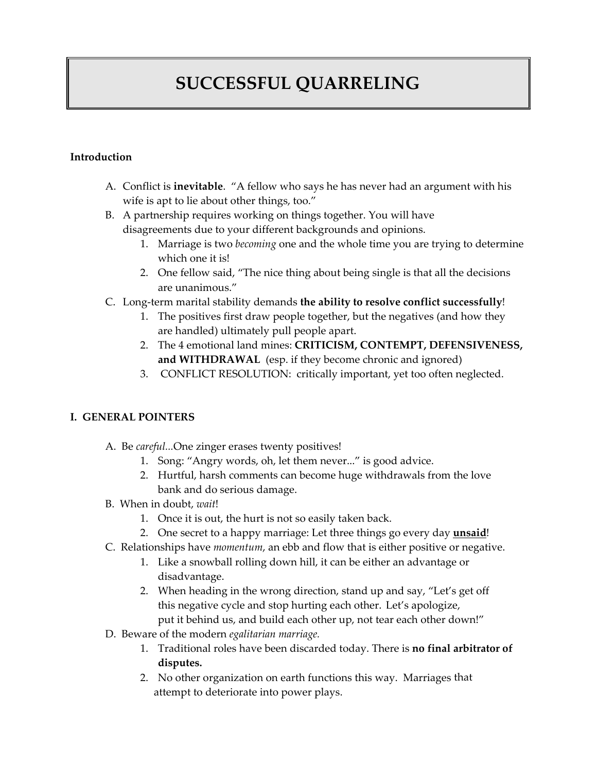# **SUCCESSFUL QUARRELING**

#### **Introduction**

- A. Conflict is **inevitable**. "A fellow who says he has never had an argument with his wife is apt to lie about other things, too."
- B. A partnership requires working on things together. You will have disagreements due to your different backgrounds and opinions.
	- 1. Marriage is two *becoming* one and the whole time you are trying to determine which one it is!
	- 2. One fellow said, "The nice thing about being single is that all the decisions are unanimous."
- C. Long‐term marital stability demands **the ability to resolve conflict successfully**!
	- 1. The positives first draw people together, but the negatives (and how they are handled) ultimately pull people apart.
	- 2. The 4 emotional land mines: **CRITICISM, CONTEMPT, DEFENSIVENESS, and WITHDRAWAL** (esp. if they become chronic and ignored)
	- 3. CONFLICT RESOLUTION: critically important, yet too often neglected.

#### **I. GENERAL POINTERS**

- A. Be *careful...*One zinger erases twenty positives!
	- 1. Song: "Angry words, oh, let them never..." is good advice.
	- 2. Hurtful, harsh comments can become huge withdrawals from the love bank and do serious damage.
- B. When in doubt, *wait*!
	- 1. Once it is out, the hurt is not so easily taken back.
	- 2. One secret to a happy marriage: Let three things go every day **unsaid**!
- C. Relationships have *momentum*, an ebb and flow that is either positive or negative.
	- 1. Like a snowball rolling down hill, it can be either an advantage or disadvantage.
	- 2. When heading in the wrong direction, stand up and say, "Let's get off this negative cycle and stop hurting each other. Let's apologize, put it behind us, and build each other up, not tear each other down!"
- D. Beware of the modern *egalitarian marriage.*
	- 1. Traditional roles have been discarded today. There is **no final arbitrator of disputes.**
	- 2. No other organization on earth functions this way. Marriages that attempt to deteriorate into power plays.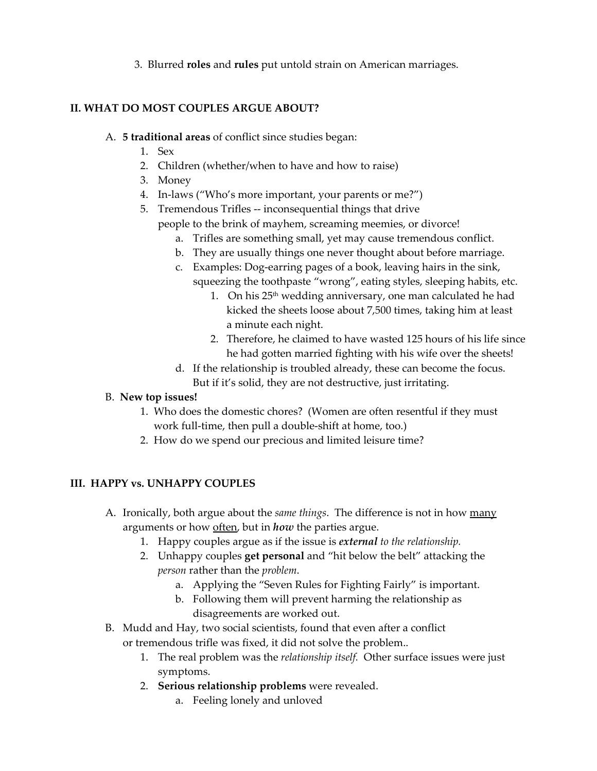3. Blurred **roles** and **rules** put untold strain on American marriages.

## **II. WHAT DO MOST COUPLES ARGUE ABOUT?**

- A. **5 traditional areas** of conflict since studies began:
	- 1. Sex
	- 2. Children (whether/when to have and how to raise)
	- 3. Money
	- 4. In-laws ("Who's more important, your parents or me?")
	- 5. Tremendous Trifles ‐‐ inconsequential things that drive
		- people to the brink of mayhem, screaming meemies, or divorce!
			- a. Trifles are something small, yet may cause tremendous conflict.
			- b. They are usually things one never thought about before marriage.
			- c. Examples: Dog-earring pages of a book, leaving hairs in the sink, squeezing the toothpaste "wrong", eating styles, sleeping habits, etc.
				- 1. On his 25<sup>th</sup> wedding anniversary, one man calculated he had kicked the sheets loose about 7,500 times, taking him at least a minute each night.
				- 2. Therefore, he claimed to have wasted 125 hours of his life since he had gotten married fighting with his wife over the sheets!
			- d. If the relationship is troubled already, these can become the focus. But if it's solid, they are not destructive, just irritating.

## B. **New top issues!**

- 1. Who does the domestic chores? (Women are often resentful if they must work full-time, then pull a double-shift at home, too.)
- 2. How do we spend our precious and limited leisure time?

## **III. HAPPY vs. UNHAPPY COUPLES**

- A. Ironically, both argue about the *same things*. The difference is not in how many arguments or how often, but in *how* the parties argue.
	- 1. Happy couples argue as if the issue is *external to the relationship.*
	- 2. Unhappy couples **get personal** and "hit below the belt" attacking the *person* rather than the *problem*.
		- a. Applying the "Seven Rules for Fighting Fairly" is important.
		- b. Following them will prevent harming the relationship as disagreements are worked out.
- B. Mudd and Hay, two social scientists, found that even after a conflict or tremendous trifle was fixed, it did not solve the problem..
	- 1. The real problem was the *relationship itself.* Other surface issues were just symptoms.
	- 2. **Serious relationship problems** were revealed.
		- a. Feeling lonely and unloved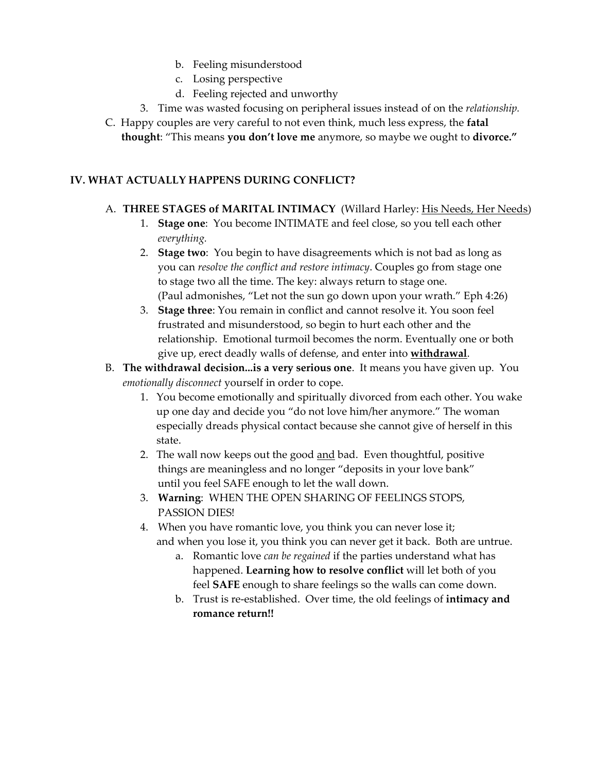- b. Feeling misunderstood
- c. Losing perspective
- d. Feeling rejected and unworthy
- 3. Time was wasted focusing on peripheral issues instead of on the *relationship.*
- C. Happy couples are very careful to not even think, much less express, the **fatal thought**: "This means **you don't love me** anymore, so maybe we ought to **divorce."**

# **IV. WHAT ACTUALLY HAPPENS DURING CONFLICT?**

# A. **THREE STAGES of MARITAL INTIMACY** (Willard Harley: His Needs, Her Needs)

- 1. **Stage one**: You become INTIMATE and feel close, so you tell each other  *everything.*
- 2. **Stage two**: You begin to have disagreements which is not bad as long as you can *resolve the conflict and restore intimacy*. Couples go from stage one to stage two all the time. The key: always return to stage one. (Paul admonishes, "Let not the sun go down upon your wrath." Eph 4:26)
- 3. **Stage three**: You remain in conflict and cannot resolve it. You soon feel frustrated and misunderstood, so begin to hurt each other and the relationship. Emotional turmoil becomes the norm. Eventually one or both give up, erect deadly walls of defense, and enter into **withdrawal**.
- B. **The withdrawal decision...is a very serious one**. It means you have given up. You *emotionally disconnect* yourself in order to cope.
	- 1. You become emotionally and spiritually divorced from each other. You wake up one day and decide you "do not love him/her anymore." The woman especially dreads physical contact because she cannot give of herself in this state.
	- 2. The wall now keeps out the good and bad. Even thoughtful, positive things are meaningless and no longer "deposits in your love bank" until you feel SAFE enough to let the wall down.
	- 3. **Warning**: WHEN THE OPEN SHARING OF FEELINGS STOPS, PASSION DIES!
	- 4. When you have romantic love, you think you can never lose it; and when you lose it, you think you can never get it back. Both are untrue.
		- a. Romantic love *can be regained* if the parties understand what has happened. **Learning how to resolve conflict** will let both of you feel **SAFE** enough to share feelings so the walls can come down.
		- b. Trust is re‐established. Over time, the old feelings of **intimacy and romance return!!**